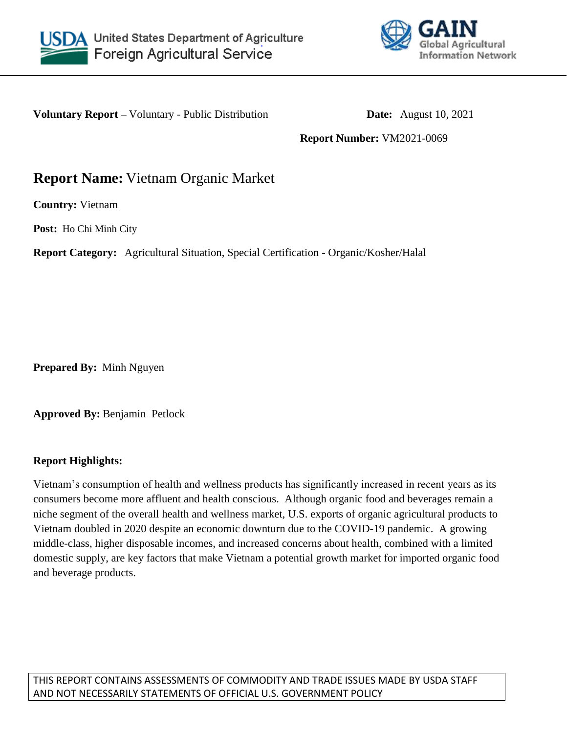



**Voluntary Report –** Voluntary - Public Distribution **Date:** August 10, 2021

**Report Number:** VM2021-0069

# **Report Name:** Vietnam Organic Market

**Country:** Vietnam

**Post:** Ho Chi Minh City

**Report Category:** Agricultural Situation, Special Certification - Organic/Kosher/Halal

**Prepared By:** Minh Nguyen

**Approved By:** Benjamin Petlock

## **Report Highlights:**

Vietnam's consumption of health and wellness products has significantly increased in recent years as its consumers become more affluent and health conscious. Although organic food and beverages remain a niche segment of the overall health and wellness market, U.S. exports of organic agricultural products to Vietnam doubled in 2020 despite an economic downturn due to the COVID-19 pandemic. A growing middle-class, higher disposable incomes, and increased concerns about health, combined with a limited domestic supply, are key factors that make Vietnam a potential growth market for imported organic food and beverage products.

THIS REPORT CONTAINS ASSESSMENTS OF COMMODITY AND TRADE ISSUES MADE BY USDA STAFF AND NOT NECESSARILY STATEMENTS OF OFFICIAL U.S. GOVERNMENT POLICY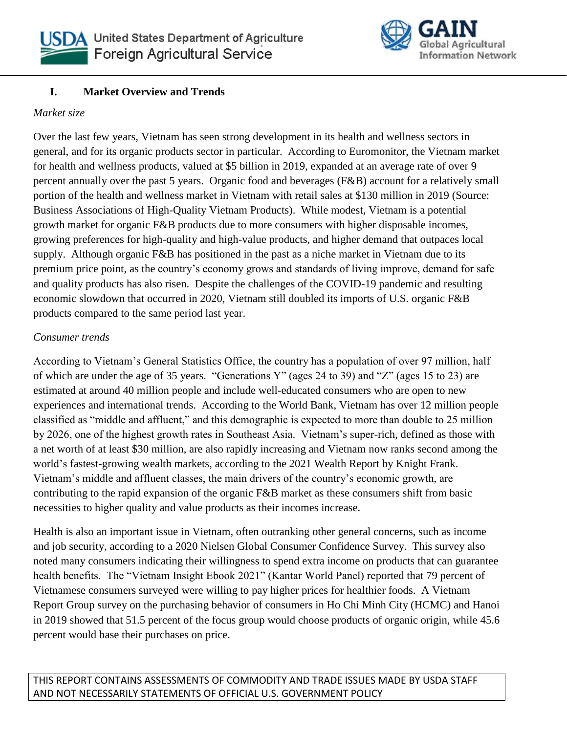



## **I. Market Overview and Trends**

#### *Market size*

Over the last few years, Vietnam has seen strong development in its health and wellness sectors in general, and for its organic products sector in particular. According to Euromonitor, the Vietnam market for health and wellness products, valued at \$5 billion in 2019, expanded at an average rate of over 9 percent annually over the past 5 years. Organic food and beverages (F&B) account for a relatively small portion of the health and wellness market in Vietnam with retail sales at \$130 million in 2019 (Source: Business Associations of High-Quality Vietnam Products). While modest, Vietnam is a potential growth market for organic F&B products due to more consumers with higher disposable incomes, growing preferences for high-quality and high-value products, and higher demand that outpaces local supply. Although organic F&B has positioned in the past as a niche market in Vietnam due to its premium price point, as the country's economy grows and standards of living improve, demand for safe and quality products has also risen. Despite the challenges of the COVID-19 pandemic and resulting economic slowdown that occurred in 2020, Vietnam still doubled its imports of U.S. organic F&B products compared to the same period last year.

#### *Consumer trends*

According to Vietnam's General Statistics Office, the country has a population of over 97 million, half of which are under the age of 35 years. "Generations Y" (ages 24 to 39) and "Z" (ages 15 to 23) are estimated at around 40 million people and include well-educated consumers who are open to new experiences and international trends. According to the World Bank, Vietnam has over 12 million people classified as "middle and affluent," and this demographic is expected to more than double to 25 million by 2026, one of the highest growth rates in Southeast Asia. Vietnam's super-rich, defined as those with a net worth of at least \$30 million, are also rapidly increasing and Vietnam now ranks second among the world's fastest-growing wealth markets, according to the 2021 Wealth Report by Knight Frank. Vietnam's middle and affluent classes, the main drivers of the country's economic growth, are contributing to the rapid expansion of the organic F&B market as these consumers shift from basic necessities to higher quality and value products as their incomes increase.

Health is also an important issue in Vietnam, often outranking other general concerns, such as income and job security, according to a 2020 Nielsen Global Consumer Confidence Survey. This survey also noted many consumers indicating their willingness to spend extra income on products that can guarantee health benefits. The "Vietnam Insight Ebook 2021" (Kantar World Panel) reported that 79 percent of Vietnamese consumers surveyed were willing to pay higher prices for healthier foods. A Vietnam Report Group survey on the purchasing behavior of consumers in Ho Chi Minh City (HCMC) and Hanoi in 2019 showed that 51.5 percent of the focus group would choose products of organic origin, while 45.6 percent would base their purchases on price.

THIS REPORT CONTAINS ASSESSMENTS OF COMMODITY AND TRADE ISSUES MADE BY USDA STAFF AND NOT NECESSARILY STATEMENTS OF OFFICIAL U.S. GOVERNMENT POLICY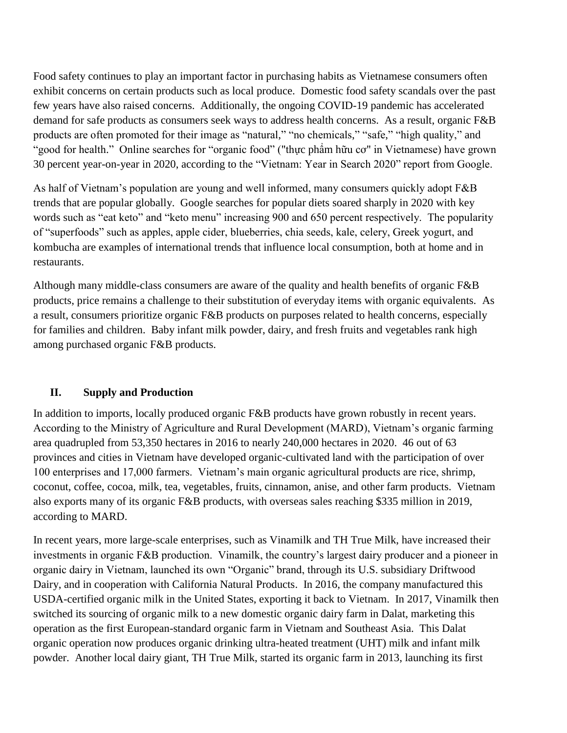Food safety continues to play an important factor in purchasing habits as Vietnamese consumers often exhibit concerns on certain products such as local produce. Domestic food safety scandals over the past few years have also raised concerns. Additionally, the ongoing COVID-19 pandemic has accelerated demand for safe products as consumers seek ways to address health concerns. As a result, organic F&B products are often promoted for their image as "natural," "no chemicals," "safe," "high quality," and "good for health." Online searches for "organic food" ("thực phẩm hữu cơ" in Vietnamese) have grown 30 percent year-on-year in 2020, according to the "Vietnam: Year in Search 2020" report from Google.

As half of Vietnam's population are young and well informed, many consumers quickly adopt F&B trends that are popular globally. Google searches for popular diets soared sharply in 2020 with key words such as "eat keto" and "keto menu" increasing 900 and 650 percent respectively. The popularity of "superfoods" such as apples, apple cider, blueberries, chia seeds, kale, celery, Greek yogurt, and kombucha are examples of international trends that influence local consumption, both at home and in restaurants.

Although many middle-class consumers are aware of the quality and health benefits of organic F&B products, price remains a challenge to their substitution of everyday items with organic equivalents. As a result, consumers prioritize organic F&B products on purposes related to health concerns, especially for families and children. Baby infant milk powder, dairy, and fresh fruits and vegetables rank high among purchased organic F&B products.

#### **II. Supply and Production**

In addition to imports, locally produced organic F&B products have grown robustly in recent years. According to the Ministry of Agriculture and Rural Development (MARD), Vietnam's organic farming area quadrupled from 53,350 hectares in 2016 to nearly 240,000 hectares in 2020. 46 out of 63 provinces and cities in Vietnam have developed organic-cultivated land with the participation of over 100 enterprises and 17,000 farmers. Vietnam's main organic agricultural products are rice, shrimp, coconut, coffee, cocoa, milk, tea, vegetables, fruits, cinnamon, anise, and other farm products. Vietnam also exports many of its organic F&B products, with overseas sales reaching \$335 million in 2019, according to MARD.

In recent years, more large-scale enterprises, such as Vinamilk and TH True Milk, have increased their investments in organic F&B production. Vinamilk, the country's largest dairy producer and a pioneer in organic dairy in Vietnam, launched its own "Organic" brand, through its U.S. subsidiary Driftwood Dairy, and in cooperation with California Natural Products. In 2016, the company manufactured this USDA-certified organic milk in the United States, exporting it back to Vietnam. In 2017, Vinamilk then switched its sourcing of organic milk to a new domestic organic dairy farm in Dalat, marketing this operation as the first European-standard organic farm in Vietnam and Southeast Asia. This Dalat organic operation now produces organic drinking ultra-heated treatment (UHT) milk and infant milk powder. Another local dairy giant, TH True Milk, started its organic farm in 2013, launching its first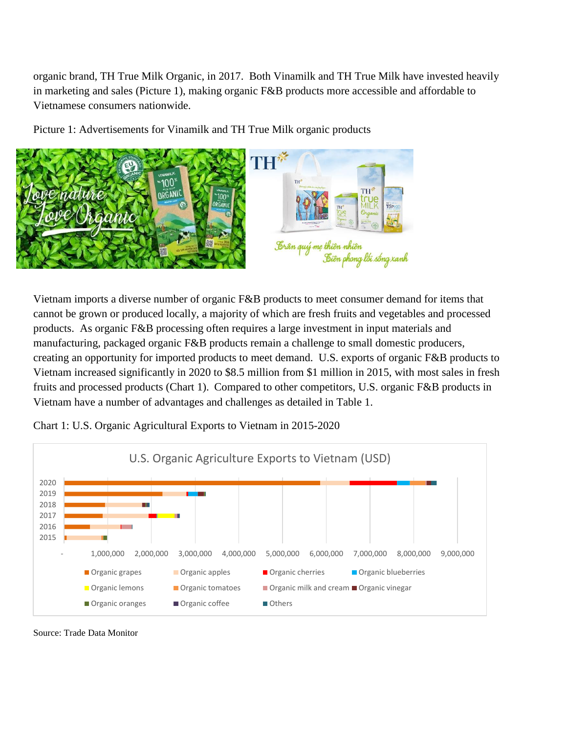organic brand, TH True Milk Organic, in 2017. Both Vinamilk and TH True Milk have invested heavily in marketing and sales (Picture 1), making organic F&B products more accessible and affordable to Vietnamese consumers nationwide.

Picture 1: Advertisements for Vinamilk and TH True Milk organic products



Vietnam imports a diverse number of organic F&B products to meet consumer demand for items that cannot be grown or produced locally, a majority of which are fresh fruits and vegetables and processed products. As organic F&B processing often requires a large investment in input materials and manufacturing, packaged organic F&B products remain a challenge to small domestic producers, creating an opportunity for imported products to meet demand. U.S. exports of organic F&B products to Vietnam increased significantly in 2020 to \$8.5 million from \$1 million in 2015, with most sales in fresh fruits and processed products (Chart 1). Compared to other competitors, U.S. organic F&B products in Vietnam have a number of advantages and challenges as detailed in Table 1.



Chart 1: U.S. Organic Agricultural Exports to Vietnam in 2015-2020

Source: Trade Data Monitor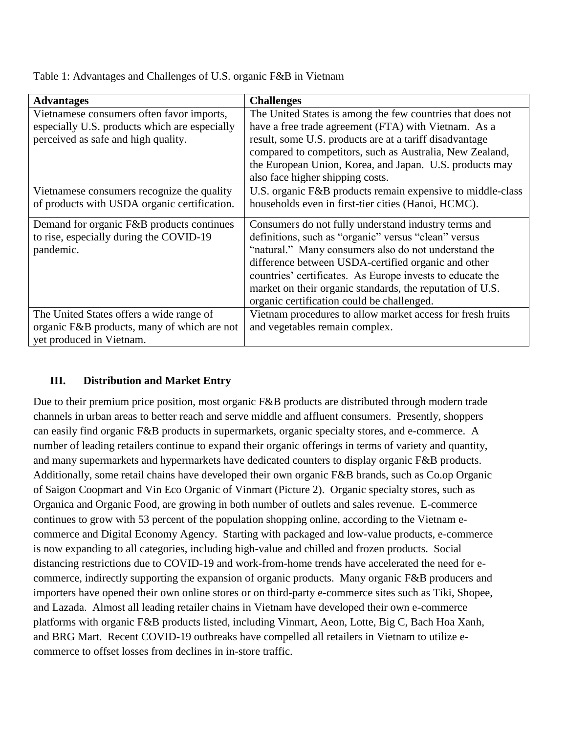| <b>Advantages</b>                             | <b>Challenges</b>                                          |
|-----------------------------------------------|------------------------------------------------------------|
| Vietnamese consumers often favor imports,     | The United States is among the few countries that does not |
| especially U.S. products which are especially | have a free trade agreement (FTA) with Vietnam. As a       |
| perceived as safe and high quality.           | result, some U.S. products are at a tariff disadvantage    |
|                                               | compared to competitors, such as Australia, New Zealand,   |
|                                               | the European Union, Korea, and Japan. U.S. products may    |
|                                               | also face higher shipping costs.                           |
| Vietnamese consumers recognize the quality    | U.S. organic F&B products remain expensive to middle-class |
| of products with USDA organic certification.  | households even in first-tier cities (Hanoi, HCMC).        |
| Demand for organic F&B products continues     | Consumers do not fully understand industry terms and       |
| to rise, especially during the COVID-19       | definitions, such as "organic" versus "clean" versus       |
| pandemic.                                     | "natural." Many consumers also do not understand the       |
|                                               | difference between USDA-certified organic and other        |
|                                               | countries' certificates. As Europe invests to educate the  |
|                                               | market on their organic standards, the reputation of U.S.  |
|                                               | organic certification could be challenged.                 |
| The United States offers a wide range of      | Vietnam procedures to allow market access for fresh fruits |
| organic F&B products, many of which are not   | and vegetables remain complex.                             |
| yet produced in Vietnam.                      |                                                            |

Table 1: Advantages and Challenges of U.S. organic F&B in Vietnam

#### **III. Distribution and Market Entry**

Due to their premium price position, most organic F&B products are distributed through modern trade channels in urban areas to better reach and serve middle and affluent consumers. Presently, shoppers can easily find organic F&B products in supermarkets, organic specialty stores, and e-commerce. A number of leading retailers continue to expand their organic offerings in terms of variety and quantity, and many supermarkets and hypermarkets have dedicated counters to display organic F&B products. Additionally, some retail chains have developed their own organic F&B brands, such as Co.op Organic of Saigon Coopmart and Vin Eco Organic of Vinmart (Picture 2). Organic specialty stores, such as Organica and Organic Food, are growing in both number of outlets and sales revenue. E-commerce continues to grow with 53 percent of the population shopping online, according to the Vietnam ecommerce and Digital Economy Agency. Starting with packaged and low-value products, e-commerce is now expanding to all categories, including high-value and chilled and frozen products. Social distancing restrictions due to COVID-19 and work-from-home trends have accelerated the need for ecommerce, indirectly supporting the expansion of organic products. Many organic F&B producers and importers have opened their own online stores or on third-party e-commerce sites such as Tiki, Shopee, and Lazada. Almost all leading retailer chains in Vietnam have developed their own e-commerce platforms with organic F&B products listed, including Vinmart, Aeon, Lotte, Big C, Bach Hoa Xanh, and BRG Mart. Recent COVID-19 outbreaks have compelled all retailers in Vietnam to utilize ecommerce to offset losses from declines in in-store traffic.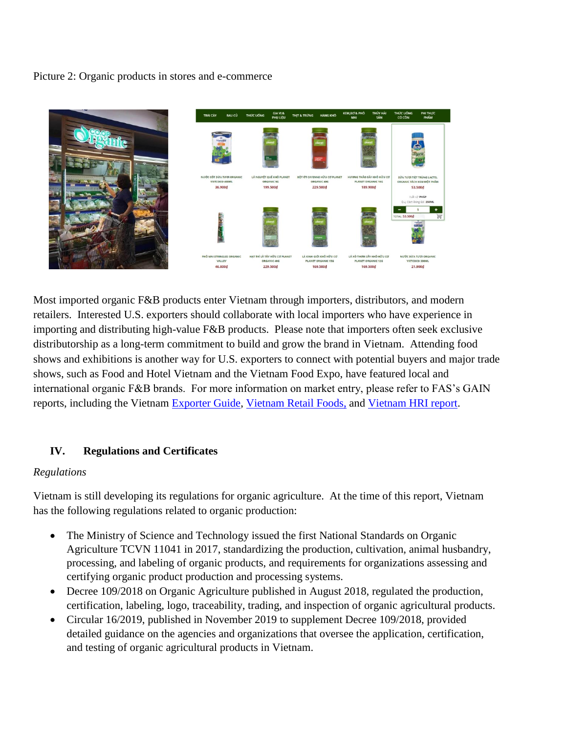Picture 2: Organic products in stores and e-commerce



Most imported organic F&B products enter Vietnam through importers, distributors, and modern retailers. Interested U.S. exporters should collaborate with local importers who have experience in importing and distributing high-value F&B products. Please note that importers often seek exclusive distributorship as a long-term commitment to build and grow the brand in Vietnam. Attending food shows and exhibitions is another way for U.S. exporters to connect with potential buyers and major trade shows, such as Food and Hotel Vietnam and the Vietnam Food Expo, have featured local and international organic F&B brands. For more information on market entry, please refer to FAS's GAIN reports, including the Vietnam [Exporter Guide,](https://www.fas.usda.gov/data/vietnam-exporter-guide-1) [Vietnam Retail Foods,](https://www.fas.usda.gov/data/vietnam-retail-foods-6) and [Vietnam HRI report.](https://www.fas.usda.gov/data/vietnam-food-service-hotel-restaurant-institutional-2)

#### **IV. Regulations and Certificates**

#### *Regulations*

Vietnam is still developing its regulations for organic agriculture. At the time of this report, Vietnam has the following regulations related to organic production:

- The Ministry of Science and Technology issued the first National Standards on Organic Agriculture TCVN 11041 in 2017, standardizing the production, cultivation, animal husbandry, processing, and labeling of organic products, and requirements for organizations assessing and certifying organic product production and processing systems.
- Decree 109/2018 on Organic Agriculture published in August 2018, regulated the production, certification, labeling, logo, traceability, trading, and inspection of organic agricultural products.
- Circular 16/2019, published in November 2019 to supplement Decree 109/2018, provided detailed guidance on the agencies and organizations that oversee the application, certification, and testing of organic agricultural products in Vietnam.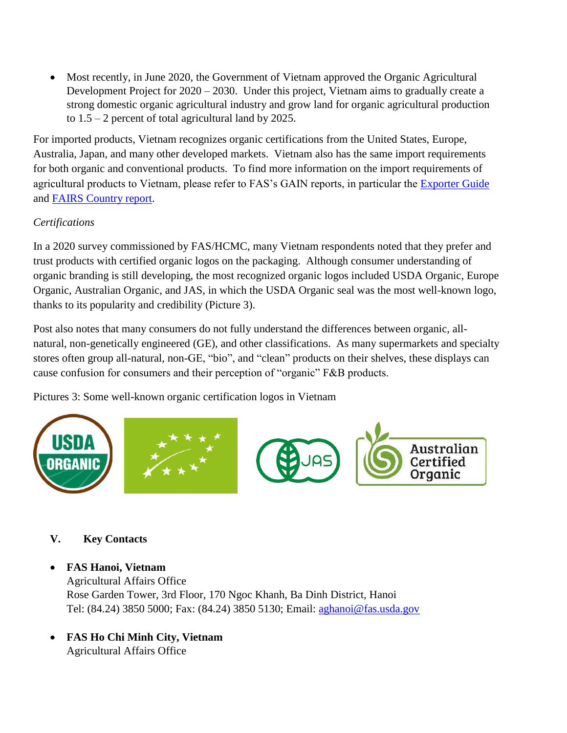• Most recently, in June 2020, the Government of Vietnam approved the Organic Agricultural Development Project for 2020 – 2030. Under this project, Vietnam aims to gradually create a strong domestic organic agricultural industry and grow land for organic agricultural production to  $1.5 - 2$  percent of total agricultural land by 2025.

For imported products, Vietnam recognizes organic certifications from the United States, Europe, Australia, Japan, and many other developed markets. Vietnam also has the same import requirements for both organic and conventional products. To find more information on the import requirements of agricultural products to Vietnam, please refer to FAS's GAIN reports, in particular the [Exporter Guide](https://www.fas.usda.gov/data/vietnam-exporter-guide-1) and [FAIRS Country report.](https://www.fas.usda.gov/data/vietnam-fairs-country-report-4)

### *Certifications*

In a 2020 survey commissioned by FAS/HCMC, many Vietnam respondents noted that they prefer and trust products with certified organic logos on the packaging. Although consumer understanding of organic branding is still developing, the most recognized organic logos included USDA Organic, Europe Organic, Australian Organic, and JAS, in which the USDA Organic seal was the most well-known logo, thanks to its popularity and credibility (Picture 3).

Post also notes that many consumers do not fully understand the differences between organic, allnatural, non-genetically engineered (GE), and other classifications. As many supermarkets and specialty stores often group all-natural, non-GE, "bio", and "clean" products on their shelves, these displays can cause confusion for consumers and their perception of "organic" F&B products.

Pictures 3: Some well-known organic certification logos in Vietnam



## **V. Key Contacts**

- **FAS Hanoi, Vietnam** Agricultural Affairs Office Rose Garden Tower, 3rd Floor, 170 Ngoc Khanh, Ba Dinh District, Hanoi Tel: (84.24) 3850 5000; Fax: (84.24) 3850 5130; Email: [aghanoi@fas.usda.gov](mailto:aghanoi@fas.usda.gov)
- **FAS Ho Chi Minh City, Vietnam** Agricultural Affairs Office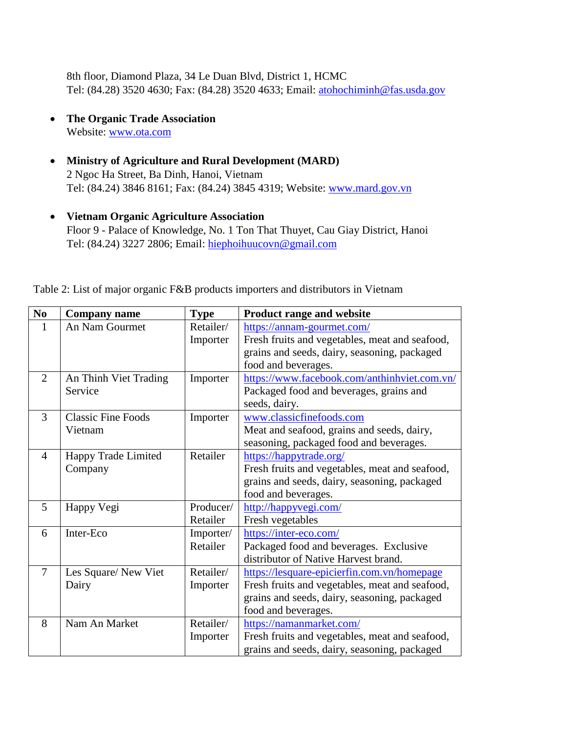8th floor, Diamond Plaza, 34 Le Duan Blvd, District 1, HCMC Tel: (84.28) 3520 4630; Fax: (84.28) 3520 4633; Email: [atohochiminh@fas.usda.gov](mailto:atohochiminh@fas.usda.gov)

- **The Organic Trade Association** Website: [www.ota.com](http://www.ota.com/)
- **Ministry of Agriculture and Rural Development (MARD)** 2 Ngoc Ha Street, Ba Dinh, Hanoi, Vietnam Tel: (84.24) 3846 8161; Fax: (84.24) 3845 4319; Website: [www.mard.gov.vn](http://www.mard.gov.vn/)
- **Vietnam Organic Agriculture Association** Floor 9 - Palace of Knowledge, No. 1 Ton That Thuyet, Cau Giay District, Hanoi Tel: (84.24) 3227 2806; Email: [hiephoihuucovn@gmail.com](mailto:hiephoihuucovn@gmail.com)

| Table 2: List of major organic F&B products importers and distributors in Vietnam |  |  |  |
|-----------------------------------------------------------------------------------|--|--|--|
|-----------------------------------------------------------------------------------|--|--|--|

| No             | <b>Company name</b>       | <b>Type</b> | <b>Product range and website</b>               |
|----------------|---------------------------|-------------|------------------------------------------------|
| 1              | An Nam Gourmet            | Retailer/   | https://annam-gourmet.com/                     |
|                |                           | Importer    | Fresh fruits and vegetables, meat and seafood, |
|                |                           |             | grains and seeds, dairy, seasoning, packaged   |
|                |                           |             | food and beverages.                            |
| 2              | An Thinh Viet Trading     | Importer    | https://www.facebook.com/anthinhyiet.com.vn/   |
|                | Service                   |             | Packaged food and beverages, grains and        |
|                |                           |             | seeds, dairy.                                  |
| 3              | <b>Classic Fine Foods</b> | Importer    | www.classicfinefoods.com                       |
|                | Vietnam                   |             | Meat and seafood, grains and seeds, dairy,     |
|                |                           |             | seasoning, packaged food and beverages.        |
| $\overline{4}$ | Happy Trade Limited       | Retailer    | https://happytrade.org/                        |
|                | Company                   |             | Fresh fruits and vegetables, meat and seafood, |
|                |                           |             | grains and seeds, dairy, seasoning, packaged   |
|                |                           |             | food and beverages.                            |
| 5              | Happy Vegi                | Producer/   | http://happyvegi.com/                          |
|                |                           | Retailer    | Fresh vegetables                               |
| 6              | Inter-Eco                 | Importer/   | https://inter-eco.com/                         |
|                |                           | Retailer    | Packaged food and beverages. Exclusive         |
|                |                           |             | distributor of Native Harvest brand.           |
| $\overline{7}$ | Les Square/New Viet       | Retailer/   | https://lesquare-epicierfin.com.vn/homepage    |
|                | Dairy                     | Importer    | Fresh fruits and vegetables, meat and seafood, |
|                |                           |             | grains and seeds, dairy, seasoning, packaged   |
|                |                           |             | food and beverages.                            |
| 8              | Nam An Market             | Retailer/   | https://namanmarket.com/                       |
|                |                           | Importer    | Fresh fruits and vegetables, meat and seafood, |
|                |                           |             | grains and seeds, dairy, seasoning, packaged   |